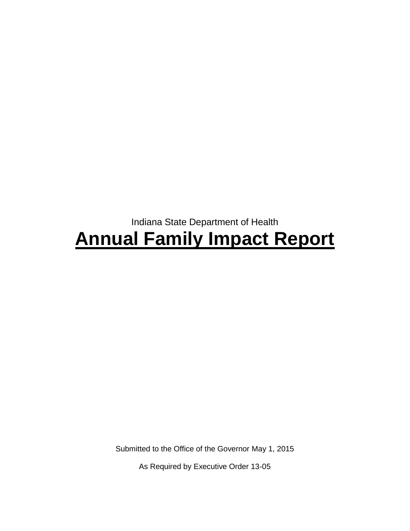# Indiana State Department of Health **Annual Family Impact Report**

Submitted to the Office of the Governor May 1, 2015

As Required by Executive Order 13-05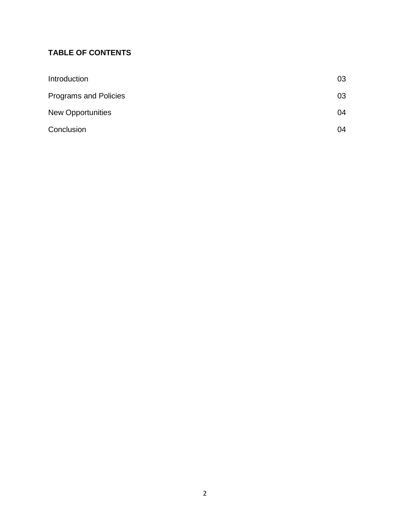# **TABLE OF CONTENTS**

| Introduction                 | 03 |
|------------------------------|----|
| <b>Programs and Policies</b> | 03 |
| <b>New Opportunities</b>     | 04 |
| Conclusion                   | 04 |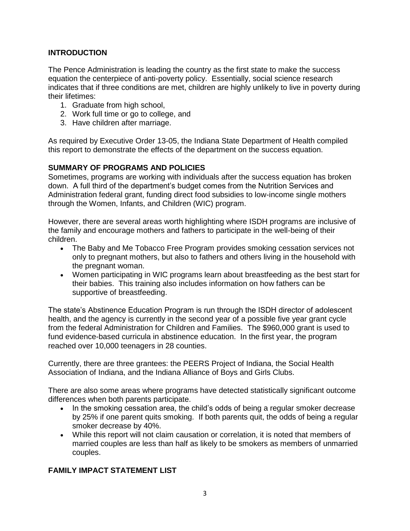# **INTRODUCTION**

The Pence Administration is leading the country as the first state to make the success equation the centerpiece of anti-poverty policy. Essentially, social science research indicates that if three conditions are met, children are highly unlikely to live in poverty during their lifetimes:

- 1. Graduate from high school,
- 2. Work full time or go to college, and
- 3. Have children after marriage.

As required by Executive Order 13-05, the Indiana State Department of Health compiled this report to demonstrate the effects of the department on the success equation.

## **SUMMARY OF PROGRAMS AND POLICIES**

Sometimes, programs are working with individuals after the success equation has broken down. A full third of the department's budget comes from the Nutrition Services and Administration federal grant, funding direct food subsidies to low-income single mothers through the Women, Infants, and Children (WIC) program.

However, there are several areas worth highlighting where ISDH programs are inclusive of the family and encourage mothers and fathers to participate in the well-being of their children.

- The Baby and Me Tobacco Free Program provides smoking cessation services not only to pregnant mothers, but also to fathers and others living in the household with the pregnant woman.
- Women participating in WIC programs learn about breastfeeding as the best start for their babies. This training also includes information on how fathers can be supportive of breastfeeding.

The state's Abstinence Education Program is run through the ISDH director of adolescent health, and the agency is currently in the second year of a possible five year grant cycle from the federal Administration for Children and Families. The \$960,000 grant is used to fund evidence-based curricula in abstinence education. In the first year, the program reached over 10,000 teenagers in 28 counties.

Currently, there are three grantees: the PEERS Project of Indiana, the Social Health Association of Indiana, and the Indiana Alliance of Boys and Girls Clubs.

There are also some areas where programs have detected statistically significant outcome differences when both parents participate.

- In the smoking cessation area, the child's odds of being a regular smoker decrease by 25% if one parent quits smoking. If both parents quit, the odds of being a regular smoker decrease by 40%.
- While this report will not claim causation or correlation, it is noted that members of married couples are less than half as likely to be smokers as members of unmarried couples.

# **FAMILY IMPACT STATEMENT LIST**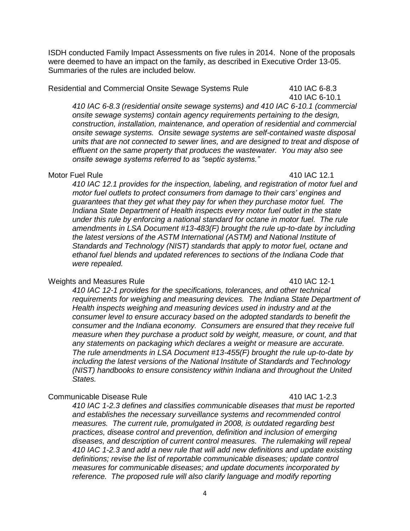ISDH conducted Family Impact Assessments on five rules in 2014. None of the proposals were deemed to have an impact on the family, as described in Executive Order 13-05. Summaries of the rules are included below.

Residential and Commercial Onsite Sewage Systems Rule 410 IAC 6-8.3

410 IAC 6-10.1

*410 IAC 6-8.3 (residential onsite sewage systems) and 410 IAC 6-10.1 (commercial onsite sewage systems) contain agency requirements pertaining to the design, construction, installation, maintenance, and operation of residential and commercial onsite sewage systems. Onsite sewage systems are self-contained waste disposal units that are not connected to sewer lines, and are designed to treat and dispose of effluent on the same property that produces the wastewater. You may also see onsite sewage systems referred to as "septic systems."*

#### Motor Fuel Rule **410 IAC 12.1**

*410 IAC 12.1 provides for the inspection, labeling, and registration of motor fuel and motor fuel outlets to protect consumers from damage to their cars' engines and guarantees that they get what they pay for when they purchase motor fuel. The Indiana State Department of Health inspects every motor fuel outlet in the state under this rule by enforcing a national standard for octane in motor fuel. The rule amendments in LSA Document #13-483(F) brought the rule up-to-date by including the latest versions of the ASTM International (ASTM) and National Institute of Standards and Technology (NIST) standards that apply to motor fuel, octane and ethanol fuel blends and updated references to sections of the Indiana Code that were repealed.* 

#### Weights and Measures Rule **410 IAC 12-1**

### *410 IAC 12-1 provides for the specifications, tolerances, and other technical requirements for weighing and measuring devices. The Indiana State Department of Health inspects weighing and measuring devices used in industry and at the consumer level to ensure accuracy based on the adopted standards to benefit the consumer and the Indiana economy. Consumers are ensured that they receive full measure when they purchase a product sold by weight, measure, or count, and that any statements on packaging which declares a weight or measure are accurate. The rule amendments in LSA Document #13-455(F) brought the rule up-to-date by including the latest versions of the National Institute of Standards and Technology (NIST) handbooks to ensure consistency within Indiana and throughout the United States.*

#### Communicable Disease Rule 410 IAC 1-2.3

*410 IAC 1-2.3 defines and classifies communicable diseases that must be reported and establishes the necessary surveillance systems and recommended control measures. The current rule, promulgated in 2008, is outdated regarding best practices, disease control and prevention, definition and inclusion of emerging diseases, and description of current control measures. The rulemaking will repeal 410 IAC 1-2.3 and add a new rule that will add new definitions and update existing definitions; revise the list of reportable communicable diseases; update control measures for communicable diseases; and update documents incorporated by*  reference. The proposed rule will also clarify language and modify reporting